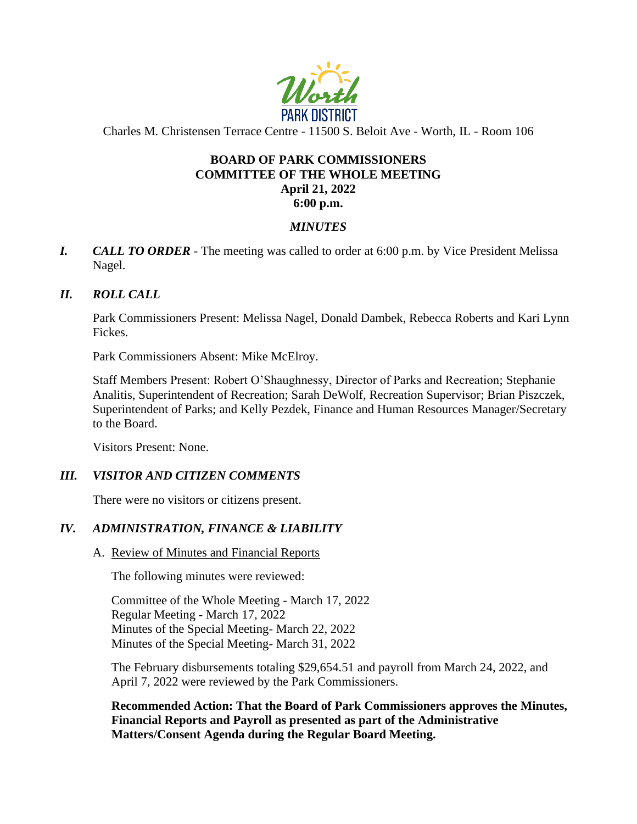

Charles M. Christensen Terrace Centre - 11500 S. Beloit Ave - Worth, IL - Room 106

# **BOARD OF PARK COMMISSIONERS COMMITTEE OF THE WHOLE MEETING April 21, 2022**

### **6:00 p.m.**

### *MINUTES*

*I. CALL TO ORDER* - The meeting was called to order at 6:00 p.m. by Vice President Melissa Nagel.

### *II. ROLL CALL*

Park Commissioners Present: Melissa Nagel, Donald Dambek, Rebecca Roberts and Kari Lynn Fickes.

Park Commissioners Absent: Mike McElroy.

Staff Members Present: Robert O'Shaughnessy, Director of Parks and Recreation; Stephanie Analitis, Superintendent of Recreation; Sarah DeWolf, Recreation Supervisor; Brian Piszczek, Superintendent of Parks; and Kelly Pezdek, Finance and Human Resources Manager/Secretary to the Board.

Visitors Present: None.

# *III. VISITOR AND CITIZEN COMMENTS*

There were no visitors or citizens present.

# *IV. ADMINISTRATION, FINANCE & LIABILITY*

### A. Review of Minutes and Financial Reports

The following minutes were reviewed:

Committee of the Whole Meeting - March 17, 2022 Regular Meeting - March 17, 2022 Minutes of the Special Meeting- March 22, 2022 Minutes of the Special Meeting- March 31, 2022

The February disbursements totaling \$29,654.51 and payroll from March 24, 2022, and April 7, 2022 were reviewed by the Park Commissioners.

**Recommended Action: That the Board of Park Commissioners approves the Minutes, Financial Reports and Payroll as presented as part of the Administrative Matters/Consent Agenda during the Regular Board Meeting.**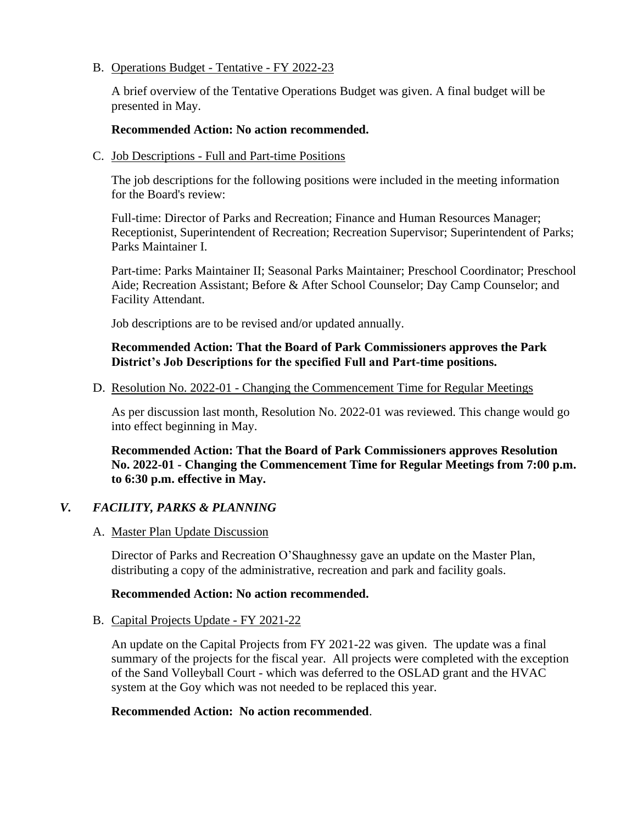### B. Operations Budget - Tentative - FY 2022-23

A brief overview of the Tentative Operations Budget was given. A final budget will be presented in May.

### **Recommended Action: No action recommended.**

C. Job Descriptions - Full and Part-time Positions

The job descriptions for the following positions were included in the meeting information for the Board's review:

Full-time: Director of Parks and Recreation; Finance and Human Resources Manager; Receptionist, Superintendent of Recreation; Recreation Supervisor; Superintendent of Parks; Parks Maintainer I.

Part-time: Parks Maintainer II; Seasonal Parks Maintainer; Preschool Coordinator; Preschool Aide; Recreation Assistant; Before & After School Counselor; Day Camp Counselor; and Facility Attendant.

Job descriptions are to be revised and/or updated annually.

# **Recommended Action: That the Board of Park Commissioners approves the Park District's Job Descriptions for the specified Full and Part-time positions.**

D. Resolution No. 2022-01 - Changing the Commencement Time for Regular Meetings

As per discussion last month, Resolution No. 2022-01 was reviewed. This change would go into effect beginning in May.

**Recommended Action: That the Board of Park Commissioners approves Resolution No. 2022-01 - Changing the Commencement Time for Regular Meetings from 7:00 p.m. to 6:30 p.m. effective in May.**

# *V. FACILITY, PARKS & PLANNING*

# A. Master Plan Update Discussion

Director of Parks and Recreation O'Shaughnessy gave an update on the Master Plan, distributing a copy of the administrative, recreation and park and facility goals.

# **Recommended Action: No action recommended.**

### B. Capital Projects Update - FY 2021-22

An update on the Capital Projects from FY 2021-22 was given. The update was a final summary of the projects for the fiscal year. All projects were completed with the exception of the Sand Volleyball Court - which was deferred to the OSLAD grant and the HVAC system at the Goy which was not needed to be replaced this year.

# **Recommended Action: No action recommended**.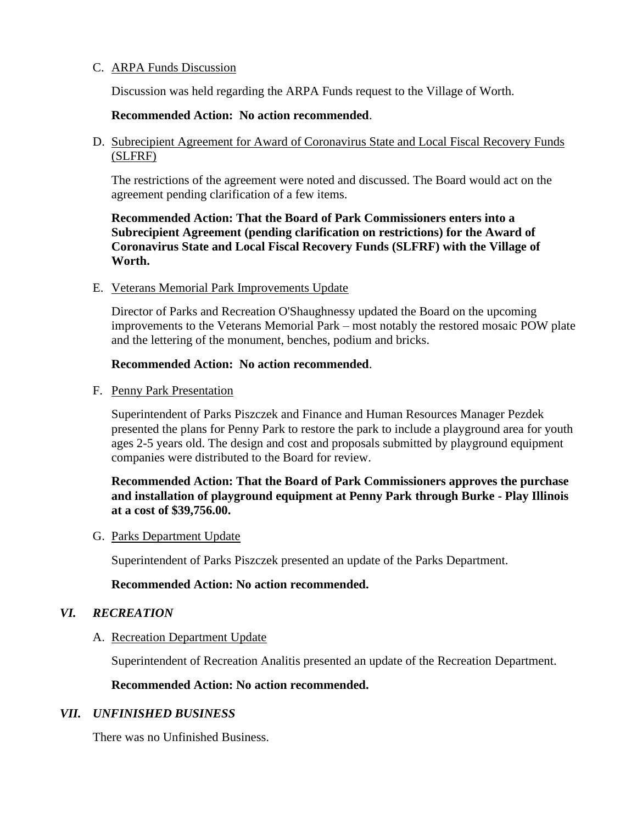### C. ARPA Funds Discussion

Discussion was held regarding the ARPA Funds request to the Village of Worth.

#### **Recommended Action: No action recommended**.

D. Subrecipient Agreement for Award of Coronavirus State and Local Fiscal Recovery Funds (SLFRF)

The restrictions of the agreement were noted and discussed. The Board would act on the agreement pending clarification of a few items.

**Recommended Action: That the Board of Park Commissioners enters into a Subrecipient Agreement (pending clarification on restrictions) for the Award of Coronavirus State and Local Fiscal Recovery Funds (SLFRF) with the Village of Worth.**

#### E. Veterans Memorial Park Improvements Update

Director of Parks and Recreation O'Shaughnessy updated the Board on the upcoming improvements to the Veterans Memorial Park – most notably the restored mosaic POW plate and the lettering of the monument, benches, podium and bricks.

#### **Recommended Action: No action recommended**.

F. Penny Park Presentation

Superintendent of Parks Piszczek and Finance and Human Resources Manager Pezdek presented the plans for Penny Park to restore the park to include a playground area for youth ages 2-5 years old. The design and cost and proposals submitted by playground equipment companies were distributed to the Board for review.

### **Recommended Action: That the Board of Park Commissioners approves the purchase and installation of playground equipment at Penny Park through Burke - Play Illinois at a cost of \$39,756.00.**

#### G. Parks Department Update

Superintendent of Parks Piszczek presented an update of the Parks Department.

#### **Recommended Action: No action recommended.**

### *VI. RECREATION*

#### A. Recreation Department Update

Superintendent of Recreation Analitis presented an update of the Recreation Department.

#### **Recommended Action: No action recommended.**

### *VII. UNFINISHED BUSINESS*

There was no Unfinished Business.